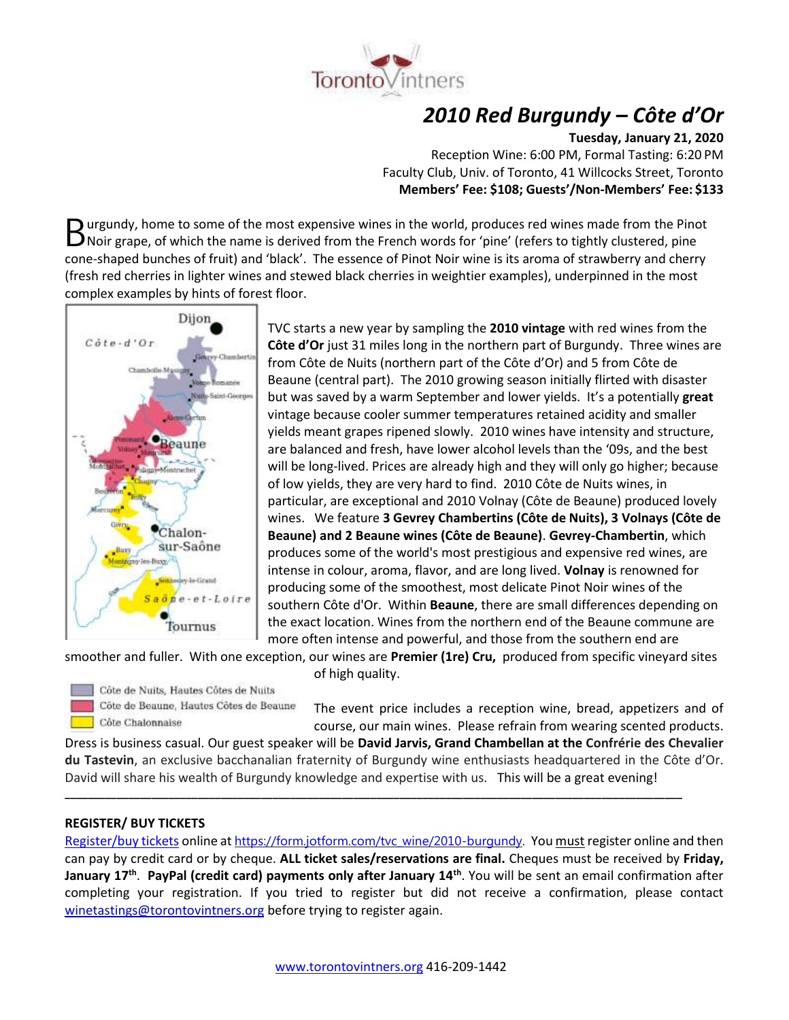

# *2010 Red Burgundy – Côte d'Or*

**Tuesday, January 21, 2020**

Reception Wine: 6:00 PM, Formal Tasting: 6:20 PM Faculty Club, Univ. of Toronto, 41 Willcocks Street, Toronto **Members' Fee: \$108; Guests'/Non-Members' Fee: \$133**

urgundy, home to some of the most expensive wines in the world, produces red wines made from the Pinot Burgundy, home to some of the most expensive wines in the world, produces red wines made from the Pinc<br>
Noir grape, of which the name is derived from the French words for 'pine' (refers to tightly clustered, pine cone-shaped bunches of fruit) and 'black'. The essence of Pinot Noir wine is its aroma of strawberry and cherry (fresh red cherries in lighter wines and stewed black cherries in weightier examples), underpinned in the most complex examples by hints of forest floor.



TVC starts a new year by sampling the **2010 vintage** with red wines from the **Côte d'Or** just 31 miles long in the northern part of Burgundy. Three wines are from Côte de Nuits (northern part of the Côte d'Or) and 5 from Côte de Beaune (central part). The 2010 growing season initially flirted with disaster but was saved by a warm September and lower yields. It's a potentially **great** vintage because cooler summer temperatures retained acidity and smaller yields meant grapes ripened slowly. 2010 wines have intensity and structure, are balanced and fresh, have lower alcohol levels than the '09s, and the best will be long-lived. Prices are already high and they will only go higher; because of low yields, they are very hard to find. 2010 Côte de Nuits wines, in particular, are exceptional and 2010 Volnay (Côte de Beaune) produced lovely wines. We feature **3 Gevrey Chambertins (Côte de Nuits), 3 Volnays (Côte de Beaune) and 2 Beaune wines (Côte de Beaune)**. **Gevrey-Chambertin**, which produces some of the world's most prestigious and expensive red wines, are intense in colour, aroma, flavor, and are long lived. **Volnay** is renowned for producing some of the smoothest, most delicate Pinot Noir wines of the southern Côte d'Or. Within **Beaune**, there are small differences depending on the exact location. Wines from the northern end of the Beaune commune are more often intense and powerful, and those from the southern end are

smoother and fuller. With one exception, our wines are **Premier (1re) Cru,** produced from specific vineyard sites

of high quality.



Côte de Nuits, Hautes Côtes de Nuits Côte de Beaune, Hautes Côtes de Beaune Côte Chalonnaise

The event price includes a reception wine, bread, appetizers and of course, our main wines. Please refrain from wearing scented products.

Dress is business casual. Our guest speaker will be **David Jarvis, Grand Chambellan at the Confrérie des Chevalier du Tastevin**, an exclusive bacchanalian fraternity of Burgundy wine enthusiasts headquartered in the Côte d'Or. David will share his wealth of Burgundy knowledge and expertise with us. This will be a great evening!

**\_\_\_\_\_\_\_\_\_\_\_\_\_\_\_\_\_\_\_\_\_\_\_\_\_\_\_\_\_\_\_\_\_\_\_\_\_\_\_\_\_\_\_\_\_\_\_\_\_\_\_\_\_\_\_\_\_\_\_\_\_\_\_\_\_\_\_\_\_\_\_\_\_\_\_\_\_\_\_\_\_\_\_\_\_\_\_\_\_\_\_\_\_\_\_\_\_\_\_\_\_\_\_\_\_\_\_**

## **REGISTER/ BUY TICKETS**

[Register/buy tickets](https://form.jotform.com/tvc_wine/2010-burgundy) online at [https://form.jotform.com/tvc\\_wine/2010-burgundy.](https://form.jotform.com/tvc_wine/2010-burgundy) You must register online and then can pay by credit card or by cheque. **ALL ticket sales/reservations are final.** Cheques must be received by **Friday, January 17th** . **PayPal (credit card) payments only after January 14th** . You will be sent an email confirmation after completing your registration. If you tried to register but did not receive a confirmation, please contact [winetastings@torontovintners.org](mailto:winetastings@torontovintners.org) before trying to register again.